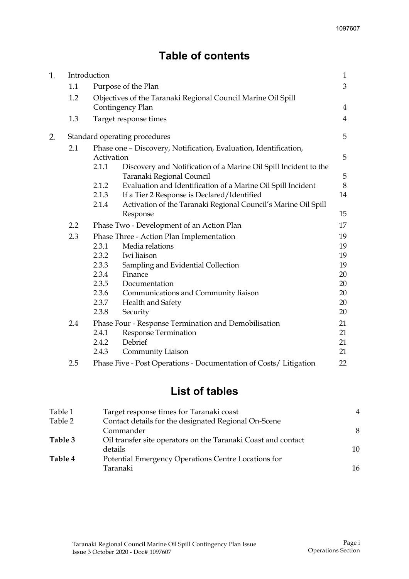# **Table of contents**

| 1. | Introduction     |                                                                  |                                                                   | $\mathbf{1}$   |  |
|----|------------------|------------------------------------------------------------------|-------------------------------------------------------------------|----------------|--|
|    | 1.1              |                                                                  | Purpose of the Plan                                               | 3              |  |
|    | 1.2              | Objectives of the Taranaki Regional Council Marine Oil Spill     |                                                                   |                |  |
|    |                  |                                                                  | Contingency Plan                                                  | 4              |  |
|    | 1.3              |                                                                  | Target response times                                             | $\overline{4}$ |  |
| 2. |                  |                                                                  | Standard operating procedures                                     | 5              |  |
|    | 2.1              | Phase one - Discovery, Notification, Evaluation, Identification, |                                                                   |                |  |
|    | Activation       |                                                                  |                                                                   | 5              |  |
|    |                  | 2.1.1                                                            | Discovery and Notification of a Marine Oil Spill Incident to the  |                |  |
|    |                  |                                                                  | Taranaki Regional Council                                         | 5              |  |
|    |                  | 2.1.2                                                            | Evaluation and Identification of a Marine Oil Spill Incident      | 8              |  |
|    |                  | 2.1.3                                                            | If a Tier 2 Response is Declared/Identified                       | 14             |  |
|    |                  | 2.1.4                                                            | Activation of the Taranaki Regional Council's Marine Oil Spill    |                |  |
|    |                  |                                                                  | Response                                                          | 15             |  |
|    | $2.2\phantom{0}$ |                                                                  | Phase Two - Development of an Action Plan                         | 17             |  |
|    | 2.3              |                                                                  | Phase Three - Action Plan Implementation                          | 19             |  |
|    |                  | 2.3.1                                                            | Media relations                                                   | 19             |  |
|    |                  | 2.3.2                                                            | Iwi liaison                                                       | 19             |  |
|    |                  | 2.3.3                                                            | Sampling and Evidential Collection                                | 19             |  |
|    |                  | 2.3.4                                                            | Finance                                                           | 20             |  |
|    |                  | 2.3.5                                                            | Documentation                                                     | 20             |  |
|    |                  | 2.3.6                                                            | Communications and Community liaison                              | 20             |  |
|    |                  | 2.3.7                                                            | Health and Safety                                                 | 20             |  |
|    |                  | 2.3.8                                                            | Security                                                          | 20             |  |
|    | 2.4              |                                                                  | Phase Four - Response Termination and Demobilisation              | 21             |  |
|    |                  | 2.4.1                                                            | <b>Response Termination</b>                                       | 21             |  |
|    |                  | 2.4.2                                                            | Debrief                                                           | 21             |  |
|    |                  | 2.4.3                                                            | Community Liaison                                                 | 21             |  |
|    | 2.5              |                                                                  | Phase Five - Post Operations - Documentation of Costs/ Litigation | 22             |  |

# **List of tables**

| Table 1 | Target response times for Taranaki coast                      | 4  |
|---------|---------------------------------------------------------------|----|
| Table 2 | Contact details for the designated Regional On-Scene          |    |
|         | Commander                                                     | 8  |
| Table 3 | Oil transfer site operators on the Taranaki Coast and contact |    |
|         | details                                                       | 10 |
| Table 4 | Potential Emergency Operations Centre Locations for           |    |
|         | Taranaki                                                      | 16 |
|         |                                                               |    |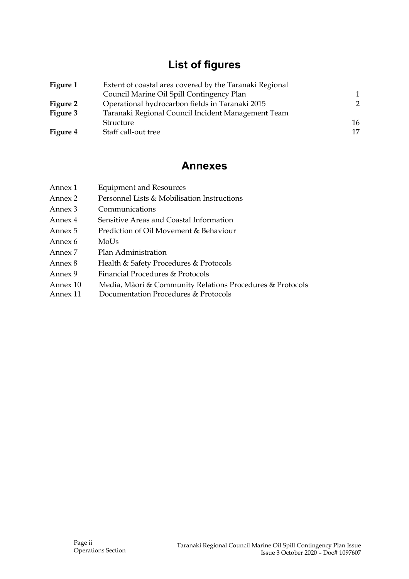# **List of figures**

| Figure 1        | Extent of coastal area covered by the Taranaki Regional |    |  |
|-----------------|---------------------------------------------------------|----|--|
|                 | Council Marine Oil Spill Contingency Plan               | 1  |  |
| Figure 2        | Operational hydrocarbon fields in Taranaki 2015         | 2  |  |
| Figure 3        | Taranaki Regional Council Incident Management Team      |    |  |
|                 | Structure                                               | 16 |  |
| <b>Figure 4</b> | Staff call-out tree                                     | 17 |  |

# **Annexes**

| Annex 1  | <b>Equipment and Resources</b>                            |
|----------|-----------------------------------------------------------|
| Annex 2  | Personnel Lists & Mobilisation Instructions               |
| Annex 3  | Communications                                            |
| Annex 4  | Sensitive Areas and Coastal Information                   |
| Annex 5  | Prediction of Oil Movement & Behaviour                    |
| Annex 6  | MoUs                                                      |
| Annex 7  | Plan Administration                                       |
| Annex 8  | Health & Safety Procedures & Protocols                    |
| Annex 9  | Financial Procedures & Protocols                          |
| Annex 10 | Media, Māori & Community Relations Procedures & Protocols |
|          |                                                           |

Annex 11 Documentation Procedures & Protocols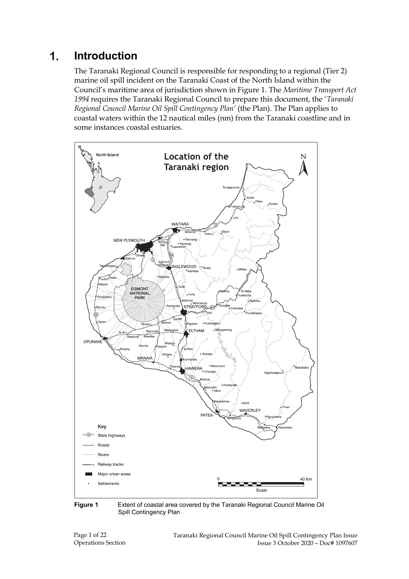# **Introduction**

The Taranaki Regional Council is responsible for responding to a regional (Tier 2) marine oil spill incident on the Taranaki Coast of the North Island within the Council's maritime area of jurisdiction shown in Figure 1. The *Maritime Transport Act 1994* requires the Taranaki Regional Council to prepare this document, the '*Taranaki Regional Council Marine Oil Spill Contingency Plan'* (the Plan). The Plan applies to coastal waters within the 12 nautical miles (nm) from the Taranaki coastline and in some instances coastal estuaries.



**Figure 1** Extent of coastal area covered by the Taranaki Regional Council Marine Oil Spill Contingency Plan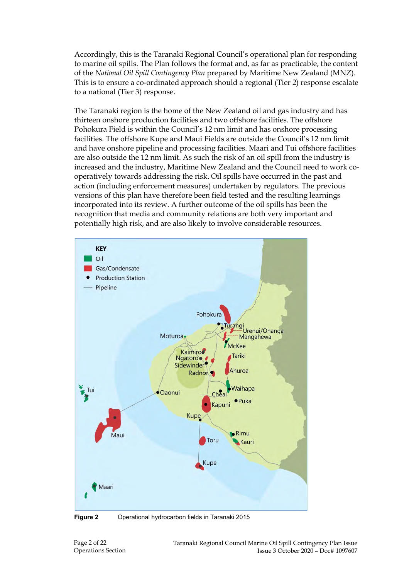Accordingly, this is the Taranaki Regional Council's operational plan for responding to marine oil spills. The Plan follows the format and, as far as practicable, the content of the *National Oil Spill Contingency Plan* prepared by Maritime New Zealand (MNZ). This is to ensure a co-ordinated approach should a regional (Tier 2) response escalate to a national (Tier 3) response.

The Taranaki region is the home of the New Zealand oil and gas industry and has thirteen onshore production facilities and two offshore facilities. The offshore Pohokura Field is within the Council's 12 nm limit and has onshore processing facilities. The offshore Kupe and Maui Fields are outside the Council's 12 nm limit and have onshore pipeline and processing facilities. Maari and Tui offshore facilities are also outside the 12 nm limit. As such the risk of an oil spill from the industry is increased and the industry, Maritime New Zealand and the Council need to work cooperatively towards addressing the risk. Oil spills have occurred in the past and action (including enforcement measures) undertaken by regulators. The previous versions of this plan have therefore been field tested and the resulting learnings incorporated into its review. A further outcome of the oil spills has been the recognition that media and community relations are both very important and potentially high risk, and are also likely to involve considerable resources.



**Figure 2** Operational hydrocarbon fields in Taranaki 2015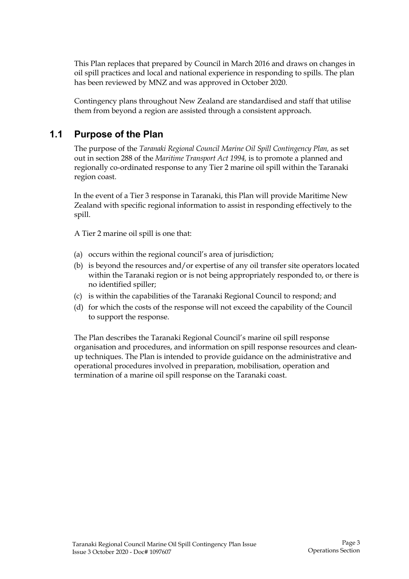This Plan replaces that prepared by Council in March 2016 and draws on changes in oil spill practices and local and national experience in responding to spills. The plan has been reviewed by MNZ and was approved in October 2020.

Contingency plans throughout New Zealand are standardised and staff that utilise them from beyond a region are assisted through a consistent approach.

# **1.1 Purpose of the Plan**

The purpose of the *Taranaki Regional Council Marine Oil Spill Contingency Plan,* as set out in section 288 of the *Maritime Transport Act 1994,* is to promote a planned and regionally co-ordinated response to any Tier 2 marine oil spill within the Taranaki region coast.

In the event of a Tier 3 response in Taranaki, this Plan will provide Maritime New Zealand with specific regional information to assist in responding effectively to the spill.

A Tier 2 marine oil spill is one that:

- (a) occurs within the regional council's area of jurisdiction;
- (b) is beyond the resources and/or expertise of any oil transfer site operators located within the Taranaki region or is not being appropriately responded to, or there is no identified spiller;
- (c) is within the capabilities of the Taranaki Regional Council to respond; and
- (d) for which the costs of the response will not exceed the capability of the Council to support the response.

The Plan describes the Taranaki Regional Council's marine oil spill response organisation and procedures, and information on spill response resources and cleanup techniques. The Plan is intended to provide guidance on the administrative and operational procedures involved in preparation, mobilisation, operation and termination of a marine oil spill response on the Taranaki coast.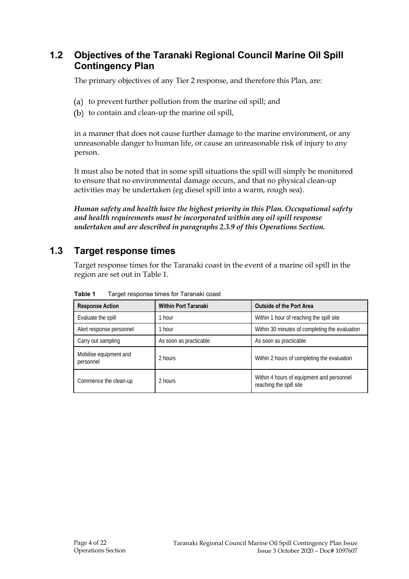# **1.2 Objectives of the Taranaki Regional Council Marine Oil Spill Contingency Plan**

The primary objectives of any Tier 2 response, and therefore this Plan, are:

- (a) to prevent further pollution from the marine oil spill; and
- (b) to contain and clean-up the marine oil spill,

in a manner that does not cause further damage to the marine environment, or any unreasonable danger to human life, or cause an unreasonable risk of injury to any person.

It must also be noted that in some spill situations the spill will simply be monitored to ensure that no environmental damage occurs, and that no physical clean-up activities may be undertaken (eg diesel spill into a warm, rough sea).

*Human safety and health have the highest priority in this Plan. Occupational safety and health requirements must be incorporated within any oil spill response undertaken and are described in paragraphs 2.3.9 of this Operations Section.* 

# **1.3 Target response times**

Target response times for the Taranaki coast in the event of a marine oil spill in the region are set out in Table 1.

| <b>Response Action</b>              | <b>Within Port Taranaki</b> | <b>Outside of the Port Area</b>                                      |  |
|-------------------------------------|-----------------------------|----------------------------------------------------------------------|--|
| Evaluate the spill                  | 1 hour                      | Within 1 hour of reaching the spill site                             |  |
| Alert response personnel            | l hour                      | Within 30 minutes of completing the evaluation                       |  |
| Carry out sampling                  | As soon as practicable      | As soon as practicable                                               |  |
| Mobilise equipment and<br>personnel | 2 hours                     | Within 2 hours of completing the evaluation                          |  |
| Commence the clean-up               | 2 hours                     | Within 4 hours of equipment and personnel<br>reaching the spill site |  |

**Table 1** Target response times for Taranaki coast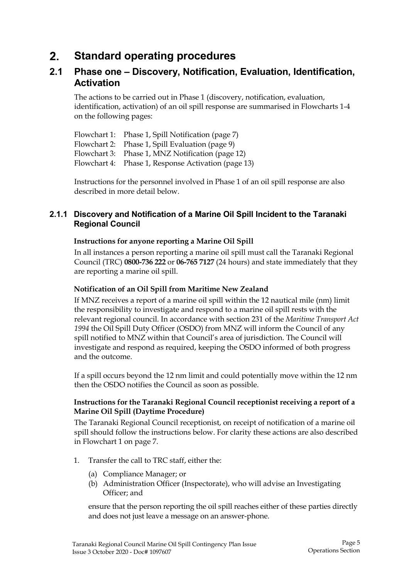# **Standard operating procedures**

# **2.1 Phase one – Discovery, Notification, Evaluation, Identification, Activation**

The actions to be carried out in Phase 1 (discovery, notification, evaluation, identification, activation) of an oil spill response are summarised in Flowcharts 1-4 on the following pages:

Flowchart 1: Phase 1, Spill Notification (page 7) Flowchart 2: Phase 1, Spill Evaluation (page 9) Flowchart 3: Phase 1, MNZ Notification (page 12) Flowchart 4: Phase 1, Response Activation (page 13)

Instructions for the personnel involved in Phase 1 of an oil spill response are also described in more detail below.

## **2.1.1 Discovery and Notification of a Marine Oil Spill Incident to the Taranaki Regional Council**

### **Instructions for anyone reporting a Marine Oil Spill**

In all instances a person reporting a marine oil spill must call the Taranaki Regional Council (TRC) **0800-736 222** or **06-765 7127** (24 hours) and state immediately that they are reporting a marine oil spill.

### **Notification of an Oil Spill from Maritime New Zealand**

If MNZ receives a report of a marine oil spill within the 12 nautical mile (nm) limit the responsibility to investigate and respond to a marine oil spill rests with the relevant regional council. In accordance with section 231 of the *Maritime Transport Act 1994* the Oil Spill Duty Officer (OSDO) from MNZ will inform the Council of any spill notified to MNZ within that Council's area of jurisdiction. The Council will investigate and respond as required, keeping the OSDO informed of both progress and the outcome.

If a spill occurs beyond the 12 nm limit and could potentially move within the 12 nm then the OSDO notifies the Council as soon as possible.

### **Instructions for the Taranaki Regional Council receptionist receiving a report of a Marine Oil Spill (Daytime Procedure)**

The Taranaki Regional Council receptionist, on receipt of notification of a marine oil spill should follow the instructions below. For clarity these actions are also described in Flowchart 1 on page 7.

- 1. Transfer the call to TRC staff, either the:
	- (a) Compliance Manager; or
	- (b) Administration Officer (Inspectorate), who will advise an Investigating Officer; and

ensure that the person reporting the oil spill reaches either of these parties directly and does not just leave a message on an answer-phone.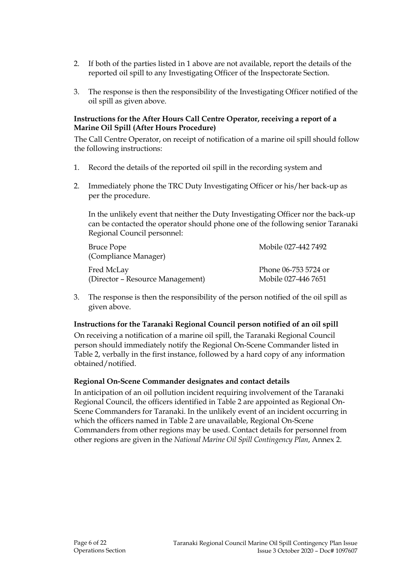- 2. If both of the parties listed in 1 above are not available, report the details of the reported oil spill to any Investigating Officer of the Inspectorate Section.
- 3. The response is then the responsibility of the Investigating Officer notified of the oil spill as given above.

#### **Instructions for the After Hours Call Centre Operator, receiving a report of a Marine Oil Spill (After Hours Procedure)**

The Call Centre Operator, on receipt of notification of a marine oil spill should follow the following instructions:

- 1. Record the details of the reported oil spill in the recording system and
- 2. Immediately phone the TRC Duty Investigating Officer or his/her back-up as per the procedure.

In the unlikely event that neither the Duty Investigating Officer nor the back-up can be contacted the operator should phone one of the following senior Taranaki Regional Council personnel:

| <b>Bruce Pope</b><br>(Compliance Manager) | Mobile 027-442 7492  |
|-------------------------------------------|----------------------|
| Fred McLay                                | Phone 06-753 5724 or |
| (Director – Resource Management)          | Mobile 027-446 7651  |

3. The response is then the responsibility of the person notified of the oil spill as given above.

#### **Instructions for the Taranaki Regional Council person notified of an oil spill**

On receiving a notification of a marine oil spill, the Taranaki Regional Council person should immediately notify the Regional On-Scene Commander listed in Table 2, verbally in the first instance, followed by a hard copy of any information obtained/notified.

#### **Regional On-Scene Commander designates and contact details**

In anticipation of an oil pollution incident requiring involvement of the Taranaki Regional Council, the officers identified in Table 2 are appointed as Regional On-Scene Commanders for Taranaki. In the unlikely event of an incident occurring in which the officers named in Table 2 are unavailable, Regional On-Scene Commanders from other regions may be used. Contact details for personnel from other regions are given in the *National Marine Oil Spill Contingency Plan*, Annex 2.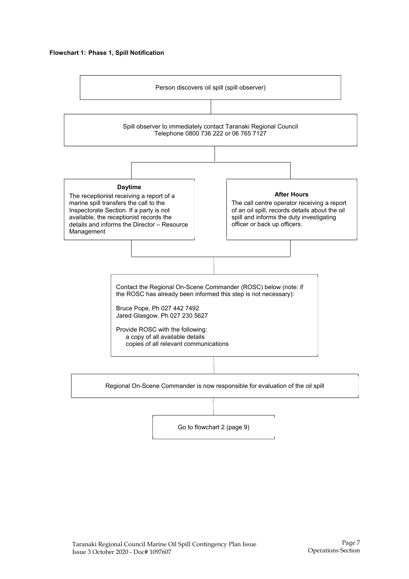#### **Flowchart 1: Phase 1, Spill Notification**



Go to flowchart 2 (page 9)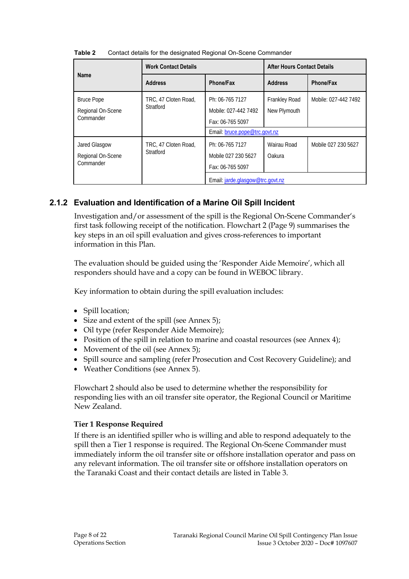|                   | <b>Work Contact Details</b>       |                                  | <b>After Hours Contact Details</b> |                      |
|-------------------|-----------------------------------|----------------------------------|------------------------------------|----------------------|
| <b>Name</b>       | <b>Address</b>                    | Phone/Fax                        | <b>Address</b>                     | Phone/Fax            |
| <b>Bruce Pope</b> | TRC, 47 Cloten Road,              | Ph: 06-765 7127                  | <b>Frankley Road</b>               | Mobile: 027-442 7492 |
| Regional On-Scene | Stratford                         | Mobile: 027-442 7492             | New Plymouth                       |                      |
| Commander         |                                   | Fax: 06-765 5097                 |                                    |                      |
|                   |                                   | Email: bruce.pope@trc.govt.nz    |                                    |                      |
| Jared Glasgow     | TRC, 47 Cloten Road,<br>Stratford | Ph: 06-765 7127                  | Wairau Road                        | Mobile 027 230 5627  |
| Regional On-Scene |                                   | Mobile 027 230 5627              | Oakura                             |                      |
| Commander         |                                   | Fax: 06-765 5097                 |                                    |                      |
|                   |                                   | Email: jarde.glasgow@trc.govt.nz |                                    |                      |

**Table 2** Contact details for the designated Regional On-Scene Commander

# **2.1.2 Evaluation and Identification of a Marine Oil Spill Incident**

Investigation and/or assessment of the spill is the Regional On-Scene Commander's first task following receipt of the notification. Flowchart 2 (Page 9) summarises the key steps in an oil spill evaluation and gives cross-references to important information in this Plan.

The evaluation should be guided using the 'Responder Aide Memoire', which all responders should have and a copy can be found in WEBOC library.

Key information to obtain during the spill evaluation includes:

- Spill location;
- Size and extent of the spill (see Annex 5);
- Oil type (refer Responder Aide Memoire);
- Position of the spill in relation to marine and coastal resources (see Annex 4);
- Movement of the oil (see Annex 5);
- Spill source and sampling (refer Prosecution and Cost Recovery Guideline); and
- Weather Conditions (see Annex 5).

Flowchart 2 should also be used to determine whether the responsibility for responding lies with an oil transfer site operator, the Regional Council or Maritime New Zealand.

#### **Tier 1 Response Required**

If there is an identified spiller who is willing and able to respond adequately to the spill then a Tier 1 response is required. The Regional On-Scene Commander must immediately inform the oil transfer site or offshore installation operator and pass on any relevant information. The oil transfer site or offshore installation operators on the Taranaki Coast and their contact details are listed in Table 3.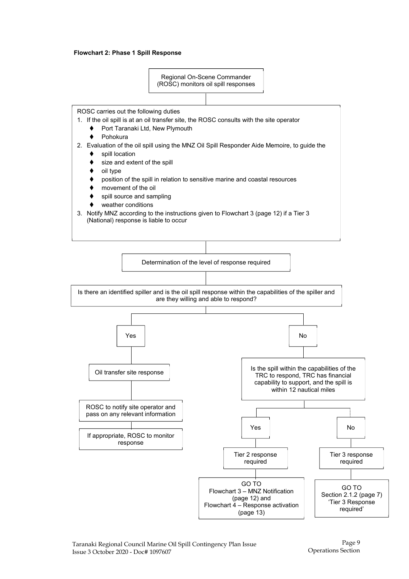#### **Flowchart 2: Phase 1 Spill Response**



Page 9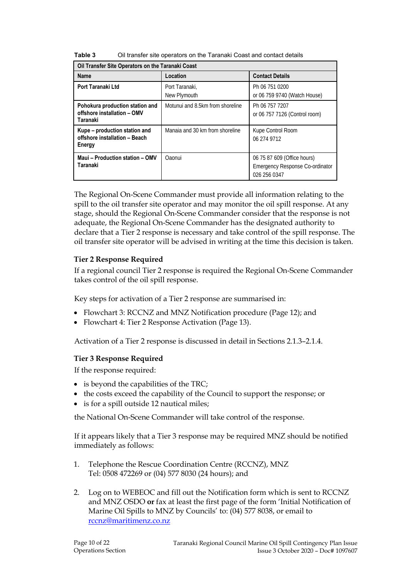| Table 3<br>Oil transfer site operators on the Taranaki Coast and contact details |  |
|----------------------------------------------------------------------------------|--|
|----------------------------------------------------------------------------------|--|

| Oil Transfer Site Operators on the Taranaki Coast                          |                                  |                                                                                       |  |
|----------------------------------------------------------------------------|----------------------------------|---------------------------------------------------------------------------------------|--|
| <b>Name</b>                                                                | Location                         | <b>Contact Details</b>                                                                |  |
| Port Taranaki Ltd                                                          | Port Taranaki,<br>New Plymouth   | Ph 06 751 0200<br>or 06 759 9740 (Watch House)                                        |  |
| Pohokura production station and<br>offshore installation - OMV<br>Taranaki | Motunui and 8.5km from shoreline | Ph 06 757 7207<br>or 06 757 7126 (Control room)                                       |  |
| Kupe – production station and<br>offshore installation - Beach<br>Energy   | Manaia and 30 km from shoreline  | Kupe Control Room<br>06 274 9712                                                      |  |
| Maui - Production station - OMV<br>Taranaki                                | Oaonui                           | 06 75 87 609 (Office hours)<br><b>Emergency Response Co-ordinator</b><br>026 256 0347 |  |

The Regional On-Scene Commander must provide all information relating to the spill to the oil transfer site operator and may monitor the oil spill response. At any stage, should the Regional On-Scene Commander consider that the response is not adequate, the Regional On-Scene Commander has the designated authority to declare that a Tier 2 response is necessary and take control of the spill response. The oil transfer site operator will be advised in writing at the time this decision is taken.

### **Tier 2 Response Required**

If a regional council Tier 2 response is required the Regional On-Scene Commander takes control of the oil spill response.

Key steps for activation of a Tier 2 response are summarised in:

- Flowchart 3: RCCNZ and MNZ Notification procedure (Page 12); and
- Flowchart 4: Tier 2 Response Activation (Page 13).

Activation of a Tier 2 response is discussed in detail in Sections 2.1.3–2.1.4.

#### **Tier 3 Response Required**

If the response required:

- is beyond the capabilities of the TRC;
- the costs exceed the capability of the Council to support the response; or
- is for a spill outside 12 nautical miles;

the National On-Scene Commander will take control of the response.

If it appears likely that a Tier 3 response may be required MNZ should be notified immediately as follows:

- 1. Telephone the Rescue Coordination Centre (RCCNZ), MNZ Tel: 0508 472269 or (04) 577 8030 (24 hours); and
- 2. Log on to WEBEOC and fill out the Notification form which is sent to RCCNZ and MNZ OSDO **or** fax at least the first page of the form 'Initial Notification of Marine Oil Spills to MNZ by Councils' to: (04) 577 8038, or email to rccnz@maritimenz.co.nz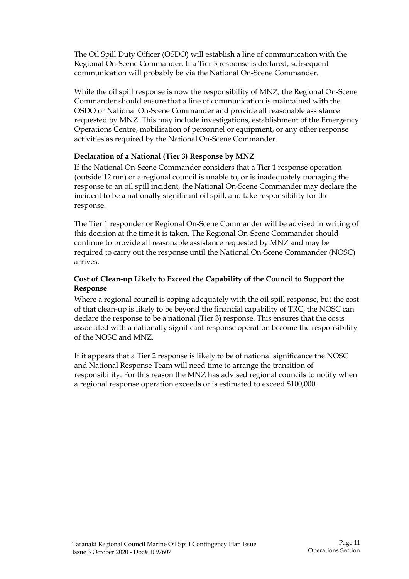The Oil Spill Duty Officer (OSDO) will establish a line of communication with the Regional On-Scene Commander. If a Tier 3 response is declared, subsequent communication will probably be via the National On-Scene Commander.

While the oil spill response is now the responsibility of MNZ, the Regional On-Scene Commander should ensure that a line of communication is maintained with the OSDO or National On-Scene Commander and provide all reasonable assistance requested by MNZ. This may include investigations, establishment of the Emergency Operations Centre, mobilisation of personnel or equipment, or any other response activities as required by the National On-Scene Commander.

### **Declaration of a National (Tier 3) Response by MNZ**

If the National On-Scene Commander considers that a Tier 1 response operation (outside 12 nm) or a regional council is unable to, or is inadequately managing the response to an oil spill incident, the National On-Scene Commander may declare the incident to be a nationally significant oil spill, and take responsibility for the response.

The Tier 1 responder or Regional On-Scene Commander will be advised in writing of this decision at the time it is taken. The Regional On-Scene Commander should continue to provide all reasonable assistance requested by MNZ and may be required to carry out the response until the National On-Scene Commander (NOSC) arrives.

### **Cost of Clean-up Likely to Exceed the Capability of the Council to Support the Response**

Where a regional council is coping adequately with the oil spill response, but the cost of that clean-up is likely to be beyond the financial capability of TRC, the NOSC can declare the response to be a national (Tier 3) response. This ensures that the costs associated with a nationally significant response operation become the responsibility of the NOSC and MNZ.

If it appears that a Tier 2 response is likely to be of national significance the NOSC and National Response Team will need time to arrange the transition of responsibility. For this reason the MNZ has advised regional councils to notify when a regional response operation exceeds or is estimated to exceed \$100,000.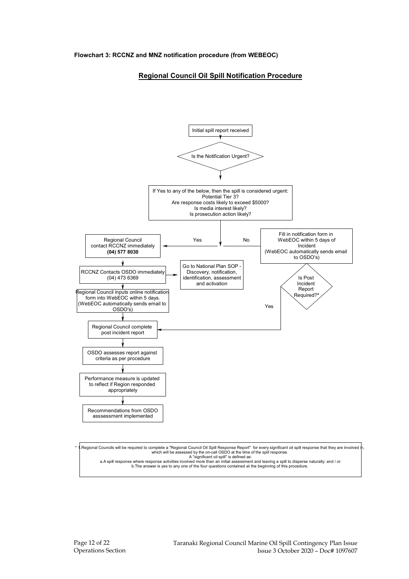#### **Regional Council Oil Spill Notification Procedure**



b.The answer is yes to any one of the four questions contained at the beginning of this procedure.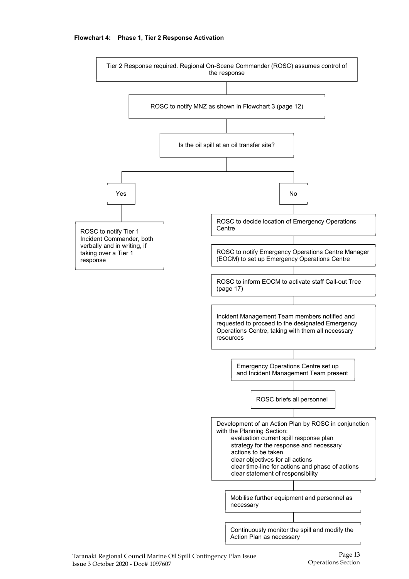

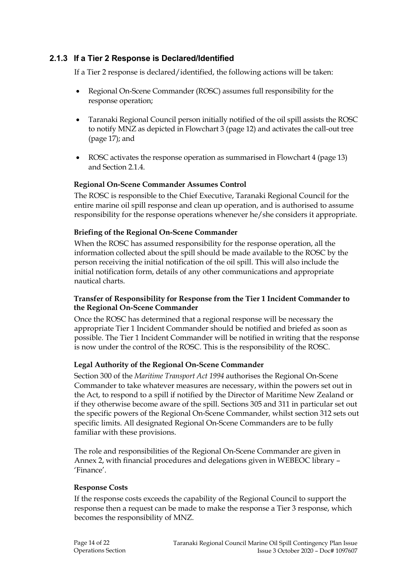### **2.1.3 If a Tier 2 Response is Declared/Identified**

If a Tier 2 response is declared/identified, the following actions will be taken:

- Regional On-Scene Commander (ROSC) assumes full responsibility for the response operation;
- Taranaki Regional Council person initially notified of the oil spill assists the ROSC to notify MNZ as depicted in Flowchart 3 (page 12) and activates the call-out tree (page 17); and
- ROSC activates the response operation as summarised in Flowchart 4 (page 13) and Section 2.1.4.

#### **Regional On-Scene Commander Assumes Control**

The ROSC is responsible to the Chief Executive, Taranaki Regional Council for the entire marine oil spill response and clean up operation, and is authorised to assume responsibility for the response operations whenever he/she considers it appropriate.

#### **Briefing of the Regional On-Scene Commander**

When the ROSC has assumed responsibility for the response operation, all the information collected about the spill should be made available to the ROSC by the person receiving the initial notification of the oil spill. This will also include the initial notification form, details of any other communications and appropriate nautical charts.

#### **Transfer of Responsibility for Response from the Tier 1 Incident Commander to the Regional On-Scene Commander**

Once the ROSC has determined that a regional response will be necessary the appropriate Tier 1 Incident Commander should be notified and briefed as soon as possible. The Tier 1 Incident Commander will be notified in writing that the response is now under the control of the ROSC. This is the responsibility of the ROSC.

### **Legal Authority of the Regional On-Scene Commander**

Section 300 of the *Maritime Transport Act 1994* authorises the Regional On-Scene Commander to take whatever measures are necessary, within the powers set out in the Act, to respond to a spill if notified by the Director of Maritime New Zealand or if they otherwise become aware of the spill. Sections 305 and 311 in particular set out the specific powers of the Regional On-Scene Commander, whilst section 312 sets out specific limits. All designated Regional On-Scene Commanders are to be fully familiar with these provisions.

The role and responsibilities of the Regional On-Scene Commander are given in Annex 2, with financial procedures and delegations given in WEBEOC library – 'Finance'.

#### **Response Costs**

If the response costs exceeds the capability of the Regional Council to support the response then a request can be made to make the response a Tier 3 response, which becomes the responsibility of MNZ.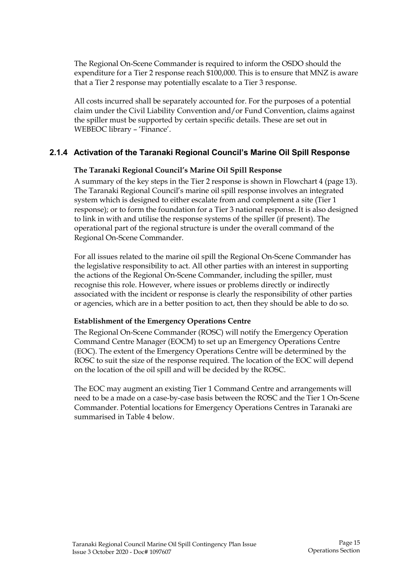The Regional On-Scene Commander is required to inform the OSDO should the expenditure for a Tier 2 response reach \$100,000. This is to ensure that MNZ is aware that a Tier 2 response may potentially escalate to a Tier 3 response.

All costs incurred shall be separately accounted for. For the purposes of a potential claim under the Civil Liability Convention and/or Fund Convention, claims against the spiller must be supported by certain specific details. These are set out in WEBEOC library – 'Finance'.

### **2.1.4 Activation of the Taranaki Regional Council's Marine Oil Spill Response**

#### **The Taranaki Regional Council's Marine Oil Spill Response**

A summary of the key steps in the Tier 2 response is shown in Flowchart 4 (page 13). The Taranaki Regional Council's marine oil spill response involves an integrated system which is designed to either escalate from and complement a site (Tier 1 response); or to form the foundation for a Tier 3 national response. It is also designed to link in with and utilise the response systems of the spiller (if present). The operational part of the regional structure is under the overall command of the Regional On-Scene Commander.

For all issues related to the marine oil spill the Regional On-Scene Commander has the legislative responsibility to act. All other parties with an interest in supporting the actions of the Regional On-Scene Commander, including the spiller, must recognise this role. However, where issues or problems directly or indirectly associated with the incident or response is clearly the responsibility of other parties or agencies, which are in a better position to act, then they should be able to do so.

#### **Establishment of the Emergency Operations Centre**

The Regional On-Scene Commander (ROSC) will notify the Emergency Operation Command Centre Manager (EOCM) to set up an Emergency Operations Centre (EOC). The extent of the Emergency Operations Centre will be determined by the ROSC to suit the size of the response required. The location of the EOC will depend on the location of the oil spill and will be decided by the ROSC.

The EOC may augment an existing Tier 1 Command Centre and arrangements will need to be a made on a case-by-case basis between the ROSC and the Tier 1 On-Scene Commander. Potential locations for Emergency Operations Centres in Taranaki are summarised in Table 4 below.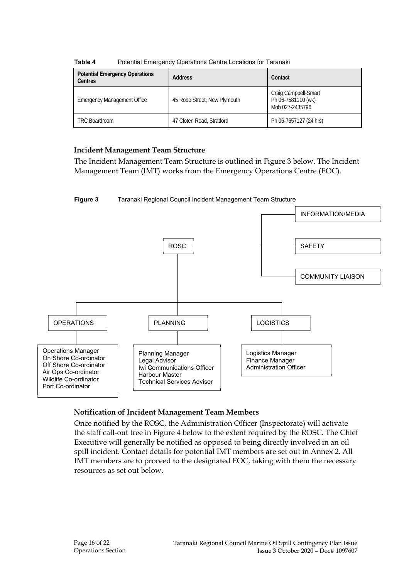| <b>Potential Emergency Operations</b><br><b>Centres</b> | <b>Address</b>               | Contact                                                       |
|---------------------------------------------------------|------------------------------|---------------------------------------------------------------|
| <b>Emergency Management Office</b>                      | 45 Robe Street, New Plymouth | Craig Campbell-Smart<br>Ph 06-7581110 (wk)<br>Mob 027-2435796 |
| <b>TRC Boardroom</b>                                    | 47 Cloten Road, Stratford    | Ph 06-7657127 (24 hrs)                                        |

**Table 4** Potential Emergency Operations Centre Locations for Taranaki

### **Incident Management Team Structure**

The Incident Management Team Structure is outlined in Figure 3 below. The Incident Management Team (IMT) works from the Emergency Operations Centre (EOC).





### **Notification of Incident Management Team Members**

Once notified by the ROSC, the Administration Officer (Inspectorate) will activate the staff call-out tree in Figure 4 below to the extent required by the ROSC. The Chief Executive will generally be notified as opposed to being directly involved in an oil spill incident. Contact details for potential IMT members are set out in Annex 2. All IMT members are to proceed to the designated EOC, taking with them the necessary resources as set out below.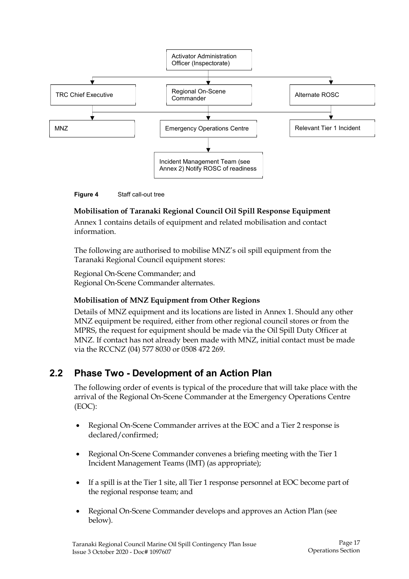



### **Mobilisation of Taranaki Regional Council Oil Spill Response Equipment**

Annex 1 contains details of equipment and related mobilisation and contact information.

The following are authorised to mobilise MNZ's oil spill equipment from the Taranaki Regional Council equipment stores:

Regional On-Scene Commander; and Regional On-Scene Commander alternates.

### **Mobilisation of MNZ Equipment from Other Regions**

Details of MNZ equipment and its locations are listed in Annex 1. Should any other MNZ equipment be required, either from other regional council stores or from the MPRS, the request for equipment should be made via the Oil Spill Duty Officer at MNZ. If contact has not already been made with MNZ, initial contact must be made via the RCCNZ (04) 577 8030 or 0508 472 269.

# **2.2 Phase Two - Development of an Action Plan**

The following order of events is typical of the procedure that will take place with the arrival of the Regional On-Scene Commander at the Emergency Operations Centre (EOC):

- Regional On-Scene Commander arrives at the EOC and a Tier 2 response is declared/confirmed;
- Regional On-Scene Commander convenes a briefing meeting with the Tier 1 Incident Management Teams (IMT) (as appropriate);
- If a spill is at the Tier 1 site, all Tier 1 response personnel at EOC become part of the regional response team; and
- Regional On-Scene Commander develops and approves an Action Plan (see below).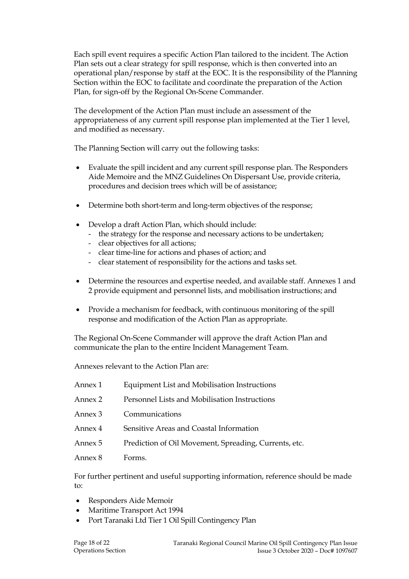Each spill event requires a specific Action Plan tailored to the incident. The Action Plan sets out a clear strategy for spill response, which is then converted into an operational plan/response by staff at the EOC. It is the responsibility of the Planning Section within the EOC to facilitate and coordinate the preparation of the Action Plan, for sign-off by the Regional On-Scene Commander.

The development of the Action Plan must include an assessment of the appropriateness of any current spill response plan implemented at the Tier 1 level, and modified as necessary.

The Planning Section will carry out the following tasks:

- Evaluate the spill incident and any current spill response plan. The Responders Aide Memoire and the MNZ Guidelines On Dispersant Use, provide criteria, procedures and decision trees which will be of assistance;
- Determine both short-term and long-term objectives of the response;
- Develop a draft Action Plan, which should include:
	- the strategy for the response and necessary actions to be undertaken;
	- clear objectives for all actions;
	- clear time-line for actions and phases of action; and
	- clear statement of responsibility for the actions and tasks set.
- Determine the resources and expertise needed, and available staff. Annexes 1 and 2 provide equipment and personnel lists, and mobilisation instructions; and
- Provide a mechanism for feedback, with continuous monitoring of the spill response and modification of the Action Plan as appropriate.

The Regional On-Scene Commander will approve the draft Action Plan and communicate the plan to the entire Incident Management Team.

Annexes relevant to the Action Plan are:

| Annex 1 | Equipment List and Mobilisation Instructions          |
|---------|-------------------------------------------------------|
| Annex 2 | Personnel Lists and Mobilisation Instructions         |
| Annex 3 | Communications                                        |
| Annex 4 | Sensitive Areas and Coastal Information               |
| Annex 5 | Prediction of Oil Movement, Spreading, Currents, etc. |
| Annex 8 | Forms.                                                |

For further pertinent and useful supporting information, reference should be made to:

- Responders Aide Memoir
- Maritime Transport Act 1994
- Port Taranaki Ltd Tier 1 Oil Spill Contingency Plan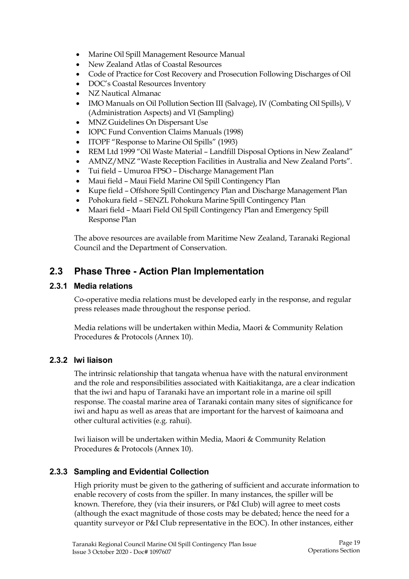- Marine Oil Spill Management Resource Manual
- New Zealand Atlas of Coastal Resources
- Code of Practice for Cost Recovery and Prosecution Following Discharges of Oil
- DOC's Coastal Resources Inventory
- NZ Nautical Almanac
- IMO Manuals on Oil Pollution Section III (Salvage), IV (Combating Oil Spills), V (Administration Aspects) and VI (Sampling)
- MNZ Guidelines On Dispersant Use
- IOPC Fund Convention Claims Manuals (1998)
- ITOPF "Response to Marine Oil Spills" (1993)
- REM Ltd 1999 "Oil Waste Material Landfill Disposal Options in New Zealand"
- AMNZ/MNZ "Waste Reception Facilities in Australia and New Zealand Ports".
- Tui field Umuroa FPSO Discharge Management Plan
- Maui field Maui Field Marine Oil Spill Contingency Plan
- Kupe field Offshore Spill Contingency Plan and Discharge Management Plan
- Pohokura field SENZL Pohokura Marine Spill Contingency Plan
- Maari field Maari Field Oil Spill Contingency Plan and Emergency Spill Response Plan

The above resources are available from Maritime New Zealand, Taranaki Regional Council and the Department of Conservation.

# **2.3 Phase Three - Action Plan Implementation**

### **2.3.1 Media relations**

Co-operative media relations must be developed early in the response, and regular press releases made throughout the response period.

Media relations will be undertaken within Media, Maori & Community Relation Procedures & Protocols (Annex 10).

### **2.3.2 Iwi liaison**

The intrinsic relationship that tangata whenua have with the natural environment and the role and responsibilities associated with Kaitiakitanga, are a clear indication that the iwi and hapu of Taranaki have an important role in a marine oil spill response. The coastal marine area of Taranaki contain many sites of significance for iwi and hapu as well as areas that are important for the harvest of kaimoana and other cultural activities (e.g. rahui).

Iwi liaison will be undertaken within Media, Maori & Community Relation Procedures & Protocols (Annex 10).

### **2.3.3 Sampling and Evidential Collection**

High priority must be given to the gathering of sufficient and accurate information to enable recovery of costs from the spiller. In many instances, the spiller will be known. Therefore, they (via their insurers, or P&I Club) will agree to meet costs (although the exact magnitude of those costs may be debated; hence the need for a quantity surveyor or P&I Club representative in the EOC). In other instances, either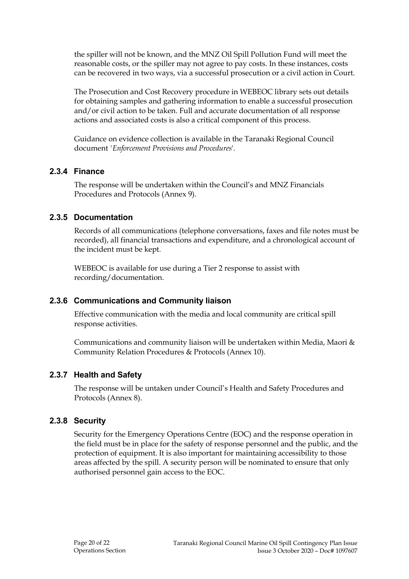the spiller will not be known, and the MNZ Oil Spill Pollution Fund will meet the reasonable costs, or the spiller may not agree to pay costs. In these instances, costs can be recovered in two ways, via a successful prosecution or a civil action in Court.

The Prosecution and Cost Recovery procedure in WEBEOC library sets out details for obtaining samples and gathering information to enable a successful prosecution and/or civil action to be taken. Full and accurate documentation of all response actions and associated costs is also a critical component of this process.

Guidance on evidence collection is available in the Taranaki Regional Council document *'Enforcement Provisions and Procedures*'.

### **2.3.4 Finance**

The response will be undertaken within the Council's and MNZ Financials Procedures and Protocols (Annex 9).

### **2.3.5 Documentation**

Records of all communications (telephone conversations, faxes and file notes must be recorded), all financial transactions and expenditure, and a chronological account of the incident must be kept.

WEBEOC is available for use during a Tier 2 response to assist with recording/documentation.

## **2.3.6 Communications and Community liaison**

Effective communication with the media and local community are critical spill response activities.

Communications and community liaison will be undertaken within Media, Maori & Community Relation Procedures & Protocols (Annex 10).

## **2.3.7 Health and Safety**

The response will be untaken under Council's Health and Safety Procedures and Protocols (Annex 8).

## **2.3.8 Security**

Security for the Emergency Operations Centre (EOC) and the response operation in the field must be in place for the safety of response personnel and the public, and the protection of equipment. It is also important for maintaining accessibility to those areas affected by the spill. A security person will be nominated to ensure that only authorised personnel gain access to the EOC.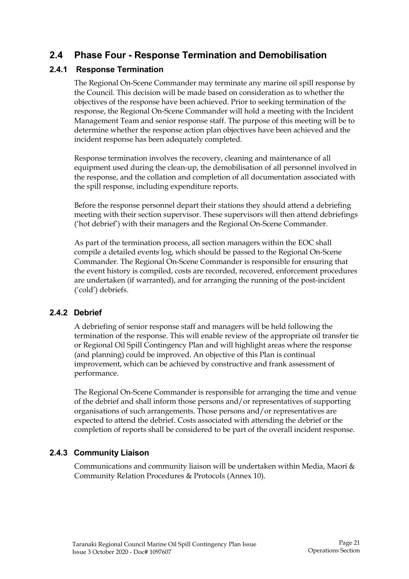# **2.4 Phase Four - Response Termination and Demobilisation**

# **2.4.1 Response Termination**

The Regional On-Scene Commander may terminate any marine oil spill response by the Council. This decision will be made based on consideration as to whether the objectives of the response have been achieved. Prior to seeking termination of the response, the Regional On-Scene Commander will hold a meeting with the Incident Management Team and senior response staff. The purpose of this meeting will be to determine whether the response action plan objectives have been achieved and the incident response has been adequately completed.

Response termination involves the recovery, cleaning and maintenance of all equipment used during the clean-up, the demobilisation of all personnel involved in the response, and the collation and completion of all documentation associated with the spill response, including expenditure reports.

Before the response personnel depart their stations they should attend a debriefing meeting with their section supervisor. These supervisors will then attend debriefings ('hot debrief') with their managers and the Regional On-Scene Commander.

As part of the termination process, all section managers within the EOC shall compile a detailed events log, which should be passed to the Regional On-Scene Commander. The Regional On-Scene Commander is responsible for ensuring that the event history is compiled, costs are recorded, recovered, enforcement procedures are undertaken (if warranted), and for arranging the running of the post-incident ('cold') debriefs.

## **2.4.2 Debrief**

A debriefing of senior response staff and managers will be held following the termination of the response. This will enable review of the appropriate oil transfer tie or Regional Oil Spill Contingency Plan and will highlight areas where the response (and planning) could be improved. An objective of this Plan is continual improvement, which can be achieved by constructive and frank assessment of performance.

The Regional On-Scene Commander is responsible for arranging the time and venue of the debrief and shall inform those persons and/or representatives of supporting organisations of such arrangements. Those persons and/or representatives are expected to attend the debrief. Costs associated with attending the debrief or the completion of reports shall be considered to be part of the overall incident response.

## **2.4.3 Community Liaison**

Communications and community liaison will be undertaken within Media, Maori & Community Relation Procedures & Protocols (Annex 10).